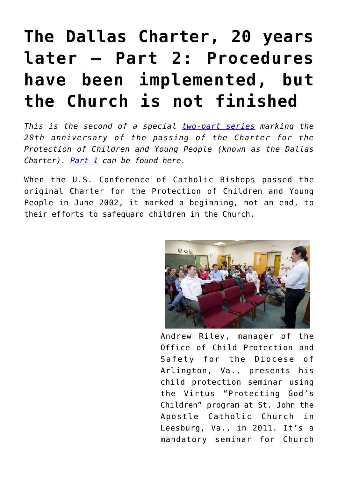# **[The Dallas Charter, 20 years](https://www.osvnews.com/2022/06/10/the-dallas-charter-20-years-later-part-2-procedures-have-been-implemented-but-the-church-is-not-finished/) [later — Part 2: Procedures](https://www.osvnews.com/2022/06/10/the-dallas-charter-20-years-later-part-2-procedures-have-been-implemented-but-the-church-is-not-finished/) [have been implemented, but](https://www.osvnews.com/2022/06/10/the-dallas-charter-20-years-later-part-2-procedures-have-been-implemented-but-the-church-is-not-finished/) [the Church is not finished](https://www.osvnews.com/2022/06/10/the-dallas-charter-20-years-later-part-2-procedures-have-been-implemented-but-the-church-is-not-finished/)**

*This is the second of a special [two-part series](https://www.osvnews.com/tag/dallas-charter-series/) marking the 20th anniversary of the passing of the Charter for the Protection of Children and Young People (known as the Dallas Charter). [Part 1](https://www.osvnews.com/2022/06/03/the-dallas-charter-20-years-later-part-1-widespread-abuse-comes-to-light-and-the-bishops-respond/) can be found here.*

When the U.S. Conference of Catholic Bishops passed the original Charter for the Protection of Children and Young People in June 2002, it marked a beginning, not an end, to their efforts to safeguard children in the Church.



Andrew Riley, manager of the Office of Child Protection and Safety for the Diocese of Arlington, Va., presents his child protection seminar using the Virtus "Protecting God's Children" program at St. John the Apostle Catholic Church in Leesburg, Va., in 2011. It's a mandatory seminar for Church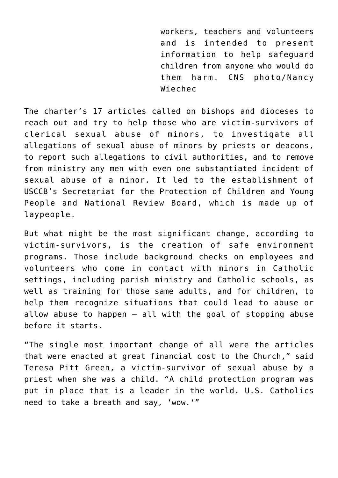workers, teachers and volunteers and is intended to present information to help safeguard children from anyone who would do them harm. CNS photo/Nancy Wiechec

The charter's 17 articles called on bishops and dioceses to reach out and try to help those who are victim-survivors of clerical sexual abuse of minors, to investigate all allegations of sexual abuse of minors by priests or deacons, to report such allegations to civil authorities, and to remove from ministry any men with even one substantiated incident of sexual abuse of a minor. It led to the establishment of USCCB's Secretariat for the Protection of Children and Young People and National Review Board, which is made up of laypeople.

But what might be the most significant change, according to victim-survivors, is the creation of safe environment programs. Those include background checks on employees and volunteers who come in contact with minors in Catholic settings, including parish ministry and Catholic schools, as well as training for those same adults, and for children, to help them recognize situations that could lead to abuse or allow abuse to happen — all with the goal of stopping abuse before it starts.

"The single most important change of all were the articles that were enacted at great financial cost to the Church," said Teresa Pitt Green, a victim-survivor of sexual abuse by a priest when she was a child. "A child protection program was put in place that is a leader in the world. U.S. Catholics need to take a breath and say, 'wow.'"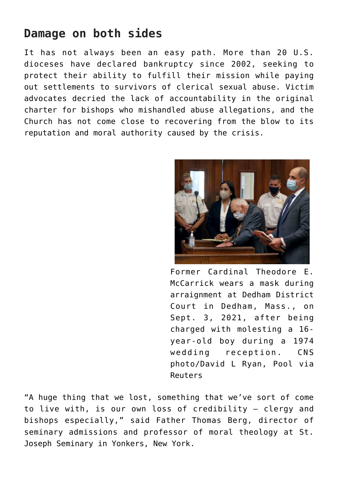## **Damage on both sides**

It has not always been an easy path. More than 20 U.S. dioceses have declared bankruptcy since 2002, seeking to protect their ability to fulfill their mission while paying out settlements to survivors of clerical sexual abuse. Victim advocates decried the lack of accountability in the original charter for bishops who mishandled abuse allegations, and the Church has not come close to recovering from the blow to its reputation and moral authority caused by the crisis.



Former Cardinal Theodore E. McCarrick wears a mask during arraignment at Dedham District Court in Dedham, Mass., on Sept. 3, 2021, after being charged with molesting a 16 year-old boy during a 1974 wedding reception. CNS photo/David L Ryan, Pool via Reuters

"A huge thing that we lost, something that we've sort of come to live with, is our own loss of credibility — clergy and bishops especially," said Father Thomas Berg, director of seminary admissions and professor of moral theology at St. Joseph Seminary in Yonkers, New York.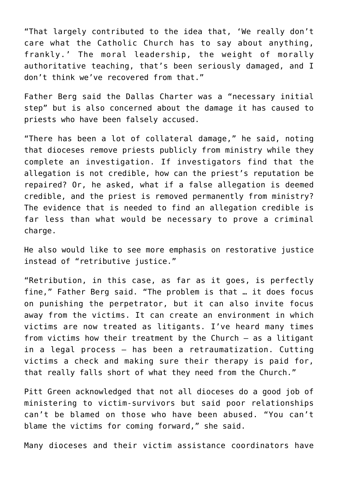"That largely contributed to the idea that, 'We really don't care what the Catholic Church has to say about anything, frankly.' The moral leadership, the weight of morally authoritative teaching, that's been seriously damaged, and I don't think we've recovered from that."

Father Berg said the Dallas Charter was a "necessary initial step" but is also concerned about the damage it has caused to priests who have been falsely accused.

"There has been a lot of collateral damage," he said, noting that dioceses remove priests publicly from ministry while they complete an investigation. If investigators find that the allegation is not credible, how can the priest's reputation be repaired? Or, he asked, what if a false allegation is deemed credible, and the priest is removed permanently from ministry? The evidence that is needed to find an allegation credible is far less than what would be necessary to prove a criminal charge.

He also would like to see more emphasis on restorative justice instead of "retributive justice."

"Retribution, in this case, as far as it goes, is perfectly fine," Father Berg said. "The problem is that … it does focus on punishing the perpetrator, but it can also invite focus away from the victims. It can create an environment in which victims are now treated as litigants. I've heard many times from victims how their treatment by the Church — as a litigant in a legal process — has been a retraumatization. Cutting victims a check and making sure their therapy is paid for, that really falls short of what they need from the Church."

Pitt Green acknowledged that not all dioceses do a good job of ministering to victim-survivors but said poor relationships can't be blamed on those who have been abused. "You can't blame the victims for coming forward," she said.

Many dioceses and their victim assistance coordinators have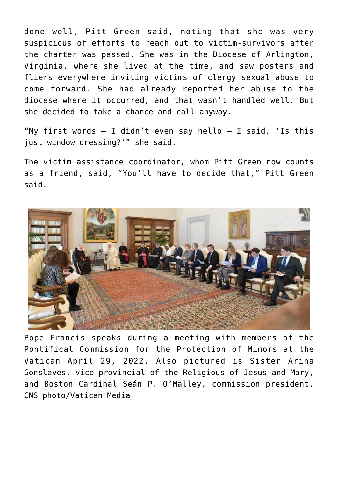done well, Pitt Green said, noting that she was very suspicious of efforts to reach out to victim-survivors after the charter was passed. She was in the Diocese of Arlington, Virginia, where she lived at the time, and saw posters and fliers everywhere inviting victims of clergy sexual abuse to come forward. She had already reported her abuse to the diocese where it occurred, and that wasn't handled well. But she decided to take a chance and call anyway.

"My first words  $-$  I didn't even say hello  $-$  I said, 'Is this just window dressing?'" she said.

The victim assistance coordinator, whom Pitt Green now counts as a friend, said, "You'll have to decide that," Pitt Green said.



Pope Francis speaks during a meeting with members of the Pontifical Commission for the Protection of Minors at the Vatican April 29, 2022. Also pictured is Sister Arina Gonslaves, vice-provincial of the Religious of Jesus and Mary, and Boston Cardinal Seán P. O'Malley, commission president. CNS photo/Vatican Media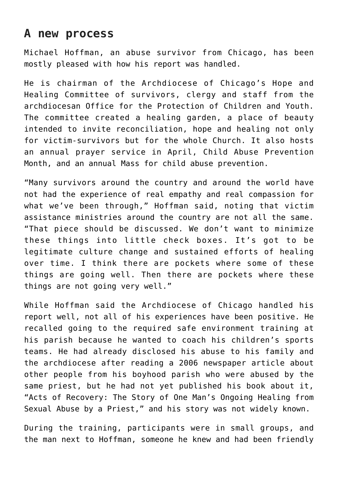## **A new process**

Michael Hoffman, an abuse survivor from Chicago, has been mostly pleased with how his report was handled.

He is chairman of the Archdiocese of Chicago's Hope and Healing Committee of survivors, clergy and staff from the archdiocesan Office for the Protection of Children and Youth. The committee created a healing garden, a place of beauty intended to invite reconciliation, hope and healing not only for victim-survivors but for the whole Church. It also hosts an annual prayer service in April, Child Abuse Prevention Month, and an annual Mass for child abuse prevention.

"Many survivors around the country and around the world have not had the experience of real empathy and real compassion for what we've been through," Hoffman said, noting that victim assistance ministries around the country are not all the same. "That piece should be discussed. We don't want to minimize these things into little check boxes. It's got to be legitimate culture change and sustained efforts of healing over time. I think there are pockets where some of these things are going well. Then there are pockets where these things are not going very well."

While Hoffman said the Archdiocese of Chicago handled his report well, not all of his experiences have been positive. He recalled going to the required safe environment training at his parish because he wanted to coach his children's sports teams. He had already disclosed his abuse to his family and the archdiocese after reading a 2006 newspaper article about other people from his boyhood parish who were abused by the same priest, but he had not yet published his book about it, "Acts of Recovery: The Story of One Man's Ongoing Healing from Sexual Abuse by a Priest," and his story was not widely known.

During the training, participants were in small groups, and the man next to Hoffman, someone he knew and had been friendly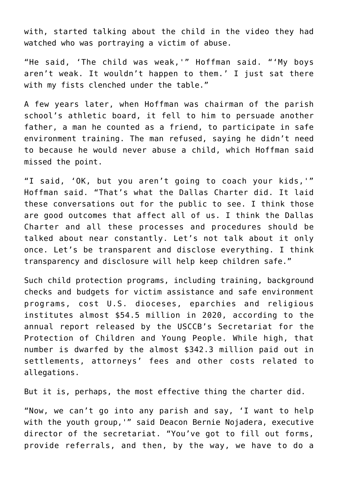with, started talking about the child in the video they had watched who was portraying a victim of abuse.

"He said, 'The child was weak,'" Hoffman said. "'My boys aren't weak. It wouldn't happen to them.' I just sat there with my fists clenched under the table."

A few years later, when Hoffman was chairman of the parish school's athletic board, it fell to him to persuade another father, a man he counted as a friend, to participate in safe environment training. The man refused, saying he didn't need to because he would never abuse a child, which Hoffman said missed the point.

"I said, 'OK, but you aren't going to coach your kids,'" Hoffman said. "That's what the Dallas Charter did. It laid these conversations out for the public to see. I think those are good outcomes that affect all of us. I think the Dallas Charter and all these processes and procedures should be talked about near constantly. Let's not talk about it only once. Let's be transparent and disclose everything. I think transparency and disclosure will help keep children safe."

Such child protection programs, including training, background checks and budgets for victim assistance and safe environment programs, cost U.S. dioceses, eparchies and religious institutes almost \$54.5 million in 2020, according to the annual report released by the USCCB's Secretariat for the Protection of Children and Young People. While high, that number is dwarfed by the almost \$342.3 million paid out in settlements, attorneys' fees and other costs related to allegations.

But it is, perhaps, the most effective thing the charter did.

"Now, we can't go into any parish and say, 'I want to help with the youth group,'" said Deacon Bernie Nojadera, executive director of the secretariat. "You've got to fill out forms, provide referrals, and then, by the way, we have to do a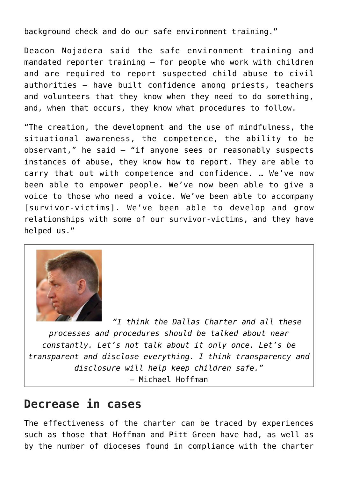background check and do our safe environment training."

Deacon Nojadera said the safe environment training and mandated reporter training — for people who work with children and are required to report suspected child abuse to civil authorities — have built confidence among priests, teachers and volunteers that they know when they need to do something, and, when that occurs, they know what procedures to follow.

"The creation, the development and the use of mindfulness, the situational awareness, the competence, the ability to be observant," he said  $-$  "if anyone sees or reasonably suspects instances of abuse, they know how to report. They are able to carry that out with competence and confidence. … We've now been able to empower people. We've now been able to give a voice to those who need a voice. We've been able to accompany [survivor-victims]. We've been able to develop and grow relationships with some of our survivor-victims, and they have helped us."



*"I think the Dallas Charter and all these processes and procedures should be talked about near constantly. Let's not talk about it only once. Let's be transparent and disclose everything. I think transparency and disclosure will help keep children safe."* — Michael Hoffman

#### **Decrease in cases**

The effectiveness of the charter can be traced by experiences such as those that Hoffman and Pitt Green have had, as well as by the number of dioceses found in compliance with the charter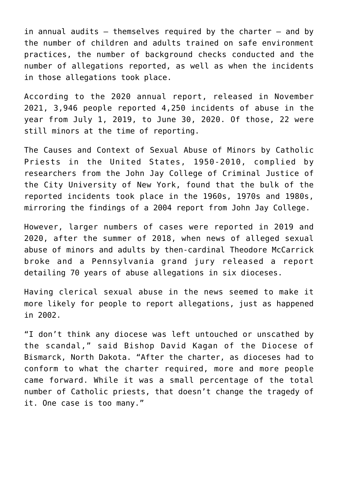in annual audits — themselves required by the charter — and by the number of children and adults trained on safe environment practices, the number of background checks conducted and the number of allegations reported, as well as when the incidents in those allegations took place.

According to the 2020 annual report, released in November 2021, 3,946 people reported 4,250 incidents of abuse in the year from July 1, 2019, to June 30, 2020. Of those, 22 were still minors at the time of reporting.

The Causes and Context of Sexual Abuse of Minors by Catholic Priests in the United States, 1950-2010, complied by researchers from the John Jay College of Criminal Justice of the City University of New York, found that the bulk of the reported incidents took place in the 1960s, 1970s and 1980s, mirroring the findings of a 2004 report from John Jay College.

However, larger numbers of cases were reported in 2019 and 2020, after the summer of 2018, when news of alleged sexual abuse of minors and adults by then-cardinal Theodore McCarrick broke and a Pennsylvania grand jury released a report detailing 70 years of abuse allegations in six dioceses.

Having clerical sexual abuse in the news seemed to make it more likely for people to report allegations, just as happened in 2002.

"I don't think any diocese was left untouched or unscathed by the scandal," said Bishop David Kagan of the Diocese of Bismarck, North Dakota. "After the charter, as dioceses had to conform to what the charter required, more and more people came forward. While it was a small percentage of the total number of Catholic priests, that doesn't change the tragedy of it. One case is too many."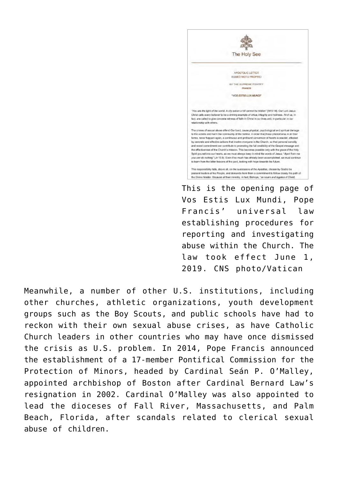

This is the opening page of Vos Estis Lux Mundi, Pope Francis' universal law establishing procedures for reporting and investigating abuse within the Church. The law took effect June 1, 2019. CNS photo/Vatican

Meanwhile, a number of other U.S. institutions, including other churches, athletic organizations, youth development groups such as the Boy Scouts, and public schools have had to reckon with their own sexual abuse crises, as have Catholic Church leaders in other countries who may have once dismissed the crisis as U.S. problem. In 2014, Pope Francis announced the establishment of a 17-member Pontifical Commission for the Protection of Minors, headed by Cardinal Seán P. O'Malley, appointed archbishop of Boston after Cardinal Bernard Law's resignation in 2002. Cardinal O'Malley was also appointed to lead the dioceses of Fall River, Massachusetts, and Palm Beach, Florida, after scandals related to clerical sexual abuse of children.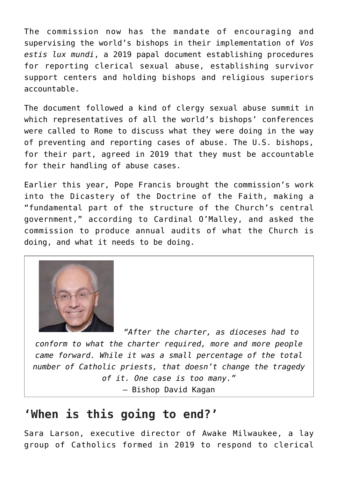The commission now has the mandate of encouraging and supervising the world's bishops in their implementation of *Vos estis lux mundi*, a 2019 papal document establishing procedures for reporting clerical sexual abuse, establishing survivor support centers and holding bishops and religious superiors accountable.

The document followed a kind of clergy sexual abuse summit in which representatives of all the world's bishops' conferences were called to Rome to discuss what they were doing in the way of preventing and reporting cases of abuse. The U.S. bishops, for their part, agreed in 2019 that they must be accountable for their handling of abuse cases.

Earlier this year, Pope Francis brought the commission's work into the Dicastery of the Doctrine of the Faith, making a "fundamental part of the structure of the Church's central government," according to Cardinal O'Malley, and asked the commission to produce annual audits of what the Church is doing, and what it needs to be doing.



*"After the charter, as dioceses had to conform to what the charter required, more and more people came forward. While it was a small percentage of the total number of Catholic priests, that doesn't change the tragedy of it. One case is too many."* — Bishop David Kagan

## **'When is this going to end?'**

Sara Larson, executive director of Awake Milwaukee, a lay group of Catholics formed in 2019 to respond to clerical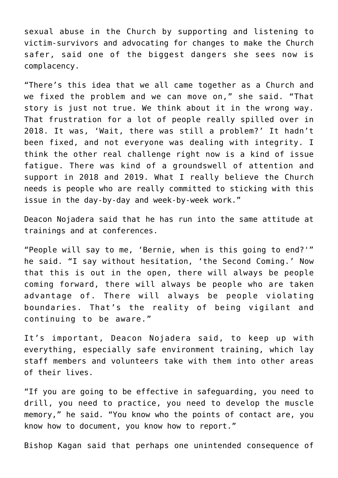sexual abuse in the Church by supporting and listening to victim-survivors and advocating for changes to make the Church safer, said one of the biggest dangers she sees now is complacency.

"There's this idea that we all came together as a Church and we fixed the problem and we can move on," she said. "That story is just not true. We think about it in the wrong way. That frustration for a lot of people really spilled over in 2018. It was, 'Wait, there was still a problem?' It hadn't been fixed, and not everyone was dealing with integrity. I think the other real challenge right now is a kind of issue fatigue. There was kind of a groundswell of attention and support in 2018 and 2019. What I really believe the Church needs is people who are really committed to sticking with this issue in the day-by-day and week-by-week work."

Deacon Nojadera said that he has run into the same attitude at trainings and at conferences.

"People will say to me, 'Bernie, when is this going to end?'" he said. "I say without hesitation, 'the Second Coming.' Now that this is out in the open, there will always be people coming forward, there will always be people who are taken advantage of. There will always be people violating boundaries. That's the reality of being vigilant and continuing to be aware."

It's important, Deacon Nojadera said, to keep up with everything, especially safe environment training, which lay staff members and volunteers take with them into other areas of their lives.

"If you are going to be effective in safeguarding, you need to drill, you need to practice, you need to develop the muscle memory," he said. "You know who the points of contact are, you know how to document, you know how to report."

Bishop Kagan said that perhaps one unintended consequence of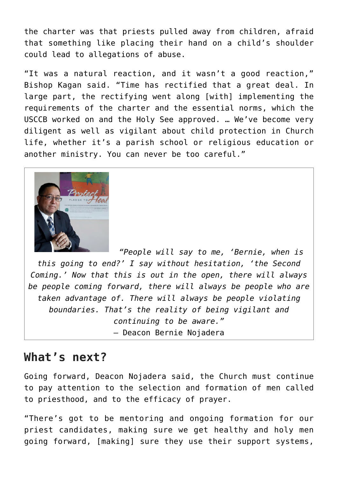the charter was that priests pulled away from children, afraid that something like placing their hand on a child's shoulder could lead to allegations of abuse.

"It was a natural reaction, and it wasn't a good reaction," Bishop Kagan said. "Time has rectified that a great deal. In large part, the rectifying went along [with] implementing the requirements of the charter and the essential norms, which the USCCB worked on and the Holy See approved. … We've become very diligent as well as vigilant about child protection in Church life, whether it's a parish school or religious education or another ministry. You can never be too careful."



*"People will say to me, 'Bernie, when is this going to end?' I say without hesitation, 'the Second Coming.' Now that this is out in the open, there will always be people coming forward, there will always be people who are taken advantage of. There will always be people violating boundaries. That's the reality of being vigilant and continuing to be aware."* — Deacon Bernie Nojadera

#### **What's next?**

Going forward, Deacon Nojadera said, the Church must continue to pay attention to the selection and formation of men called to priesthood, and to the efficacy of prayer.

"There's got to be mentoring and ongoing formation for our priest candidates, making sure we get healthy and holy men going forward, [making] sure they use their support systems,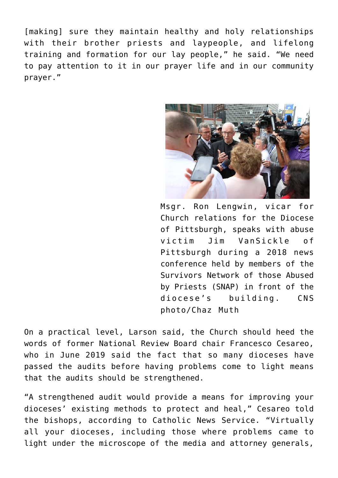[making] sure they maintain healthy and holy relationships with their brother priests and laypeople, and lifelong training and formation for our lay people," he said. "We need to pay attention to it in our prayer life and in our community prayer."



Msgr. Ron Lengwin, vicar for Church relations for the Diocese of Pittsburgh, speaks with abuse victim Jim VanSickle of Pittsburgh during a 2018 news conference held by members of the Survivors Network of those Abused by Priests (SNAP) in front of the diocese's building. CNS photo/Chaz Muth

On a practical level, Larson said, the Church should heed the words of former National Review Board chair Francesco Cesareo, who in June 2019 said the fact that so many dioceses have passed the audits before having problems come to light means that the audits should be strengthened.

"A strengthened audit would provide a means for improving your dioceses' existing methods to protect and heal," Cesareo told the bishops, according to Catholic News Service. "Virtually all your dioceses, including those where problems came to light under the microscope of the media and attorney generals,